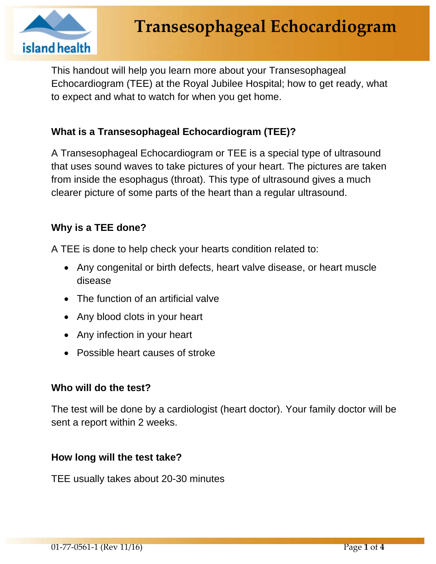

This handout will help you learn more about your Transesophageal Echocardiogram (TEE) at the Royal Jubilee Hospital; how to get ready, what to expect and what to watch for when you get home.

# **What is a Transesophageal Echocardiogram (TEE)?**

A Transesophageal Echocardiogram or TEE is a special type of ultrasound that uses sound waves to take pictures of your heart. The pictures are taken from inside the esophagus (throat). This type of ultrasound gives a much clearer picture of some parts of the heart than a regular ultrasound.

## **Why is a TEE done?**

A TEE is done to help check your hearts condition related to:

- Any congenital or birth defects, heart valve disease, or heart muscle disease
- The function of an artificial valve
- Any blood clots in your heart
- Any infection in your heart
- Possible heart causes of stroke

## **Who will do the test?**

The test will be done by a cardiologist (heart doctor). Your family doctor will be sent a report within 2 weeks.

## **How long will the test take?**

TEE usually takes about 20-30 minutes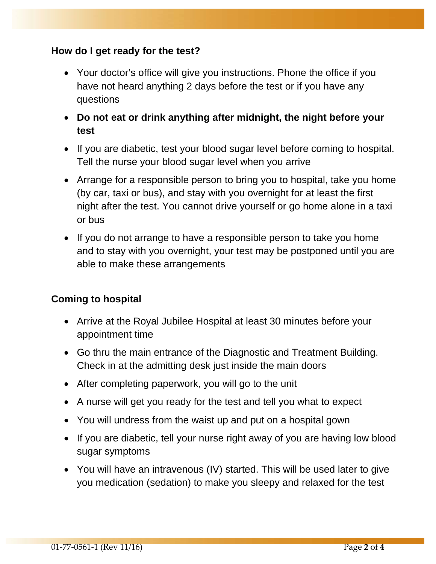## **How do I get ready for the test?**

- Your doctor's office will give you instructions. Phone the office if you have not heard anything 2 days before the test or if you have any questions
- **Do not eat or drink anything after midnight, the night before your test**
- If you are diabetic, test your blood sugar level before coming to hospital. Tell the nurse your blood sugar level when you arrive
- Arrange for a responsible person to bring you to hospital, take you home (by car, taxi or bus), and stay with you overnight for at least the first night after the test. You cannot drive yourself or go home alone in a taxi or bus
- If you do not arrange to have a responsible person to take you home and to stay with you overnight, your test may be postponed until you are able to make these arrangements

# **Coming to hospital**

- Arrive at the Royal Jubilee Hospital at least 30 minutes before your appointment time
- Go thru the main entrance of the Diagnostic and Treatment Building. Check in at the admitting desk just inside the main doors
- After completing paperwork, you will go to the unit
- A nurse will get you ready for the test and tell you what to expect
- You will undress from the waist up and put on a hospital gown
- If you are diabetic, tell your nurse right away of you are having low blood sugar symptoms
- You will have an intravenous (IV) started. This will be used later to give you medication (sedation) to make you sleepy and relaxed for the test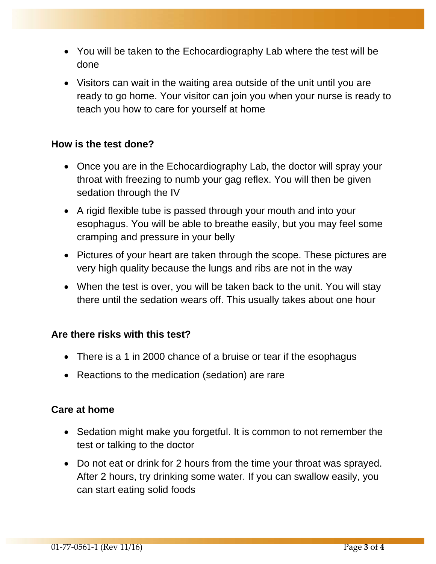- You will be taken to the Echocardiography Lab where the test will be done
- Visitors can wait in the waiting area outside of the unit until you are ready to go home. Your visitor can join you when your nurse is ready to teach you how to care for yourself at home

## **How is the test done?**

- Once you are in the Echocardiography Lab, the doctor will spray your throat with freezing to numb your gag reflex. You will then be given sedation through the IV
- A rigid flexible tube is passed through your mouth and into your esophagus. You will be able to breathe easily, but you may feel some cramping and pressure in your belly
- Pictures of your heart are taken through the scope. These pictures are very high quality because the lungs and ribs are not in the way
- When the test is over, you will be taken back to the unit. You will stay there until the sedation wears off. This usually takes about one hour

#### **Are there risks with this test?**

- There is a 1 in 2000 chance of a bruise or tear if the esophagus
- Reactions to the medication (sedation) are rare

#### **Care at home**

- Sedation might make you forgetful. It is common to not remember the test or talking to the doctor
- Do not eat or drink for 2 hours from the time your throat was sprayed. After 2 hours, try drinking some water. If you can swallow easily, you can start eating solid foods